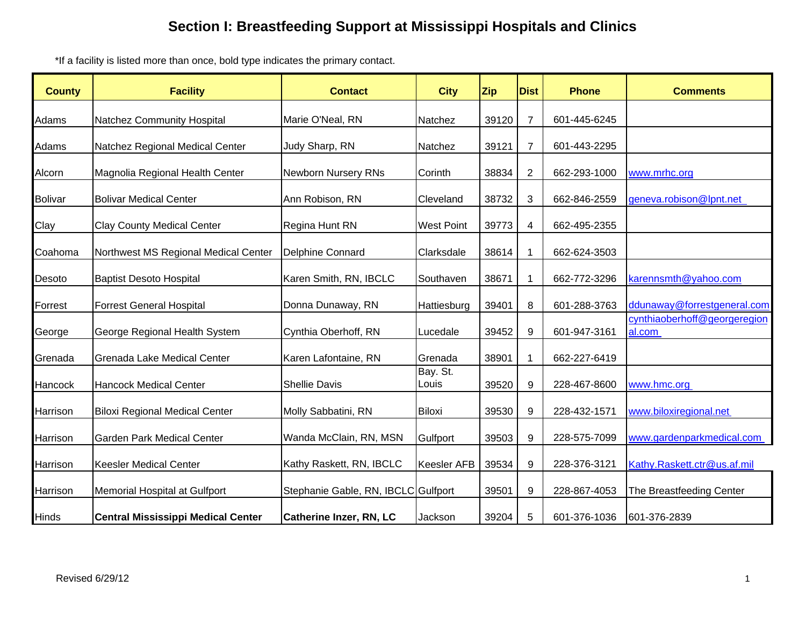\*If a facility is listed more than once, bold type indicates the primary contact.

| <b>County</b>  | <b>Facility</b>                           | <b>Contact</b>                      | <b>City</b>        | <b>Zip</b> | <b>Dist</b>      | <b>Phone</b> | <b>Comments</b>                        |
|----------------|-------------------------------------------|-------------------------------------|--------------------|------------|------------------|--------------|----------------------------------------|
| Adams          | Natchez Community Hospital                | Marie O'Neal, RN                    | Natchez            | 39120      | $\overline{7}$   | 601-445-6245 |                                        |
| Adams          | Natchez Regional Medical Center           | Judy Sharp, RN                      | Natchez            | 39121      | $\overline{7}$   | 601-443-2295 |                                        |
| Alcorn         | Magnolia Regional Health Center           | Newborn Nursery RNs                 | Corinth            | 38834      | $\overline{2}$   | 662-293-1000 | www.mrhc.org                           |
| <b>Bolivar</b> | <b>Bolivar Medical Center</b>             | Ann Robison, RN                     | Cleveland          | 38732      | 3                | 662-846-2559 | geneva.robison@lpnt.net                |
| Clay           | <b>Clay County Medical Center</b>         | Regina Hunt RN                      | <b>West Point</b>  | 39773      | 4                | 662-495-2355 |                                        |
| Coahoma        | Northwest MS Regional Medical Center      | Delphine Connard                    | Clarksdale         | 38614      | $\mathbf 1$      | 662-624-3503 |                                        |
| Desoto         | <b>Baptist Desoto Hospital</b>            | Karen Smith, RN, IBCLC              | Southaven          | 38671      | 1                | 662-772-3296 | karennsmth@yahoo.com                   |
| Forrest        | <b>Forrest General Hospital</b>           | Donna Dunaway, RN                   | Hattiesburg        | 39401      | 8                | 601-288-3763 | ddunaway@forrestgeneral.com            |
| George         | George Regional Health System             | Cynthia Oberhoff, RN                | Lucedale           | 39452      | 9                | 601-947-3161 | cynthiaoberhoff@georgeregion<br>al.com |
| Grenada        | Grenada Lake Medical Center               | Karen Lafontaine, RN                | Grenada            | 38901      | 1                | 662-227-6419 |                                        |
| Hancock        | <b>Hancock Medical Center</b>             | <b>Shellie Davis</b>                | Bay. St.<br>Louis  | 39520      | 9                | 228-467-8600 | www.hmc.org                            |
| Harrison       | <b>Biloxi Regional Medical Center</b>     | Molly Sabbatini, RN                 | Biloxi             | 39530      | 9                | 228-432-1571 | www.biloxiregional.net                 |
| Harrison       | <b>Garden Park Medical Center</b>         | Wanda McClain, RN, MSN              | Gulfport           | 39503      | 9                | 228-575-7099 | www.gardenparkmedical.com              |
| Harrison       | <b>Keesler Medical Center</b>             | Kathy Raskett, RN, IBCLC            | <b>Keesler AFB</b> | 39534      | $\boldsymbol{9}$ | 228-376-3121 | Kathy.Raskett.ctr@us.af.mil            |
| Harrison       | Memorial Hospital at Gulfport             | Stephanie Gable, RN, IBCLC Gulfport |                    | 39501      | 9                | 228-867-4053 | The Breastfeeding Center               |
| <b>Hinds</b>   | <b>Central Mississippi Medical Center</b> | Catherine Inzer, RN, LC             | Jackson            | 39204      | 5                | 601-376-1036 | 601-376-2839                           |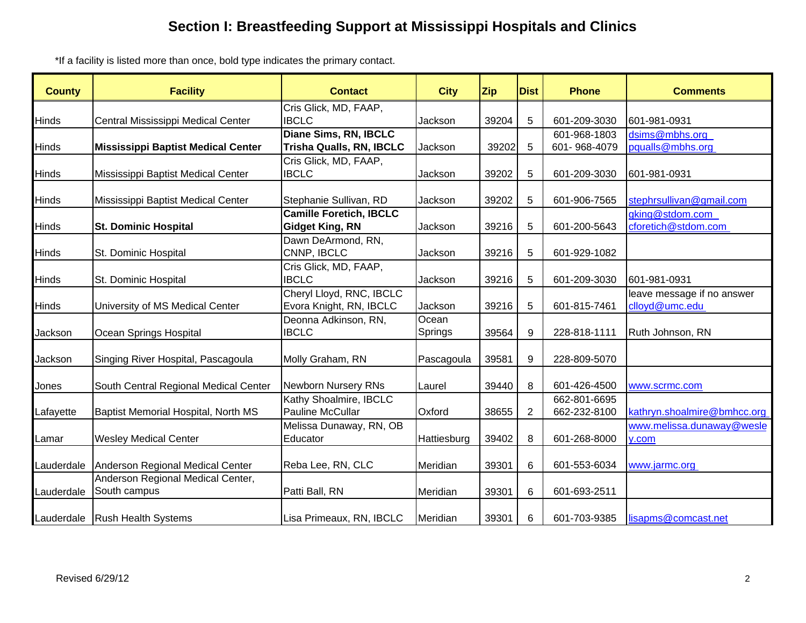\*If a facility is listed more than once, bold type indicates the primary contact.

| <b>County</b> | <b>Facility</b>                           | <b>Contact</b>                    | <b>City</b> | <b>Zip</b> | <b>Dist</b>    | <b>Phone</b> | <b>Comments</b>             |
|---------------|-------------------------------------------|-----------------------------------|-------------|------------|----------------|--------------|-----------------------------|
|               |                                           | Cris Glick, MD, FAAP,             |             |            |                |              |                             |
| Hinds         | Central Mississippi Medical Center        | <b>IBCLC</b>                      | Jackson     | 39204      | 5              | 601-209-3030 | 601-981-0931                |
|               |                                           | Diane Sims, RN, IBCLC             |             |            |                | 601-968-1803 | dsims@mbhs.org              |
| Hinds         | <b>Mississippi Baptist Medical Center</b> | Trisha Qualls, RN, IBCLC          | Jackson     | 39202      | 5              | 601-968-4079 | pqualls@mbhs.org            |
|               |                                           | Cris Glick, MD, FAAP,             |             |            |                |              |                             |
| <b>Hinds</b>  | Mississippi Baptist Medical Center        | <b>IBCLC</b>                      | Jackson     | 39202      | 5              | 601-209-3030 | 601-981-0931                |
| Hinds         | Mississippi Baptist Medical Center        | Stephanie Sullivan, RD            | Jackson     | 39202      | 5              | 601-906-7565 | stephrsullivan@gmail.com    |
|               |                                           | <b>Camille Foretich, IBCLC</b>    |             |            |                |              | gking@stdom.com             |
| Hinds         | <b>St. Dominic Hospital</b>               | <b>Gidget King, RN</b>            | Jackson     | 39216      | 5              | 601-200-5643 | cforetich@stdom.com         |
| Hinds         | St. Dominic Hospital                      | Dawn DeArmond, RN,<br>CNNP, IBCLC | Jackson     | 39216      | 5              | 601-929-1082 |                             |
|               |                                           | Cris Glick, MD, FAAP,             |             |            |                |              |                             |
| Hinds         | St. Dominic Hospital                      | <b>IBCLC</b>                      | Jackson     | 39216      | 5              | 601-209-3030 | 601-981-0931                |
|               |                                           | Cheryl Lloyd, RNC, IBCLC          |             |            |                |              | leave message if no answer  |
| <b>Hinds</b>  | University of MS Medical Center           | Evora Knight, RN, IBCLC           | Jackson     | 39216      | 5              | 601-815-7461 | clloyd@umc.edu              |
|               |                                           | Deonna Adkinson, RN,              | Ocean       |            |                |              |                             |
| Jackson       | Ocean Springs Hospital                    | <b>IBCLC</b>                      | Springs     | 39564      | 9              | 228-818-1111 | Ruth Johnson, RN            |
|               |                                           |                                   |             |            |                |              |                             |
| Jackson       | Singing River Hospital, Pascagoula        | Molly Graham, RN                  | Pascagoula  | 39581      | 9              | 228-809-5070 |                             |
| Jones         | South Central Regional Medical Center     | Newborn Nursery RNs               | Laurel      | 39440      | 8              | 601-426-4500 | www.scrmc.com               |
|               |                                           | Kathy Shoalmire, IBCLC            |             |            |                | 662-801-6695 |                             |
| Lafayette     | Baptist Memorial Hospital, North MS       | <b>Pauline McCullar</b>           | Oxford      | 38655      | $\overline{2}$ | 662-232-8100 | kathryn.shoalmire@bmhcc.org |
|               |                                           | Melissa Dunaway, RN, OB           |             |            |                |              | www.melissa.dunaway@wesle   |
| Lamar         | <b>Wesley Medical Center</b>              | Educator                          | Hattiesburg | 39402      | 8              | 601-268-8000 | v.com                       |
|               |                                           |                                   |             |            |                |              |                             |
| Lauderdale    | Anderson Regional Medical Center          | Reba Lee, RN, CLC                 | Meridian    | 39301      | 6              | 601-553-6034 | www.jarmc.org               |
|               | Anderson Regional Medical Center,         |                                   |             |            |                |              |                             |
| Lauderdale    | South campus                              | Patti Ball, RN                    | Meridian    | 39301      | 6              | 601-693-2511 |                             |
|               | Lauderdale   Rush Health Systems          | Lisa Primeaux, RN, IBCLC          | Meridian    | 39301      | 6              | 601-703-9385 | lisapms@comcast.net         |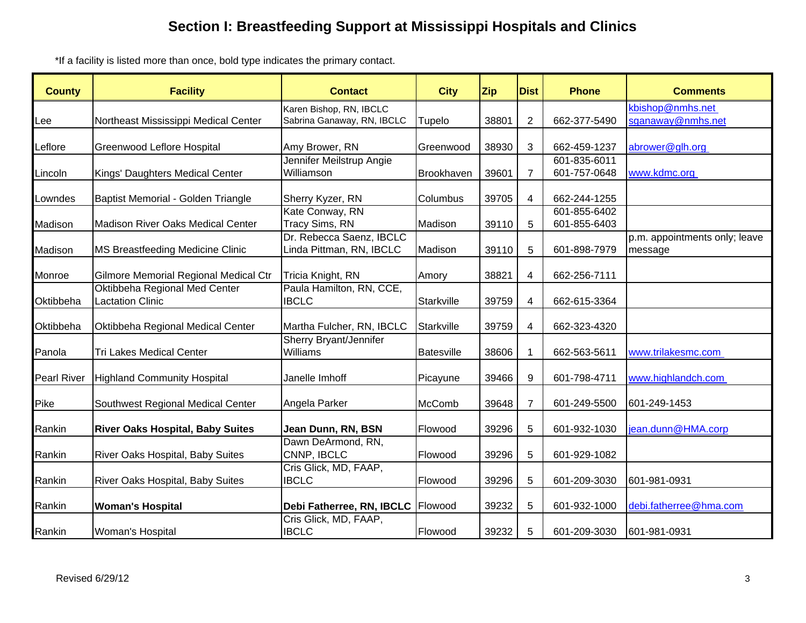\*If a facility is listed more than once, bold type indicates the primary contact.

| <b>County</b> | <b>Facility</b>                         | <b>Contact</b>                        | <b>City</b>   | <b>Zip</b> | <b>Dist</b>      | <b>Phone</b> | <b>Comments</b>               |
|---------------|-----------------------------------------|---------------------------------------|---------------|------------|------------------|--------------|-------------------------------|
|               |                                         | Karen Bishop, RN, IBCLC               |               |            |                  |              | kbishop@nmhs.net              |
| Lee           | Northeast Mississippi Medical Center    | Sabrina Ganaway, RN, IBCLC            | Tupelo        | 38801      | $\overline{2}$   | 662-377-5490 | sganaway@nmhs.net             |
|               |                                         |                                       |               |            |                  |              |                               |
| ∟eflore       | Greenwood Leflore Hospital              | Amy Brower, RN                        | Greenwood     | 38930      | 3                | 662-459-1237 | abrower@glh.org               |
|               |                                         | Jennifer Meilstrup Angie              |               |            |                  | 601-835-6011 |                               |
| Lincoln       | Kings' Daughters Medical Center         | Williamson                            | Brookhaven    | 39601      | $\overline{7}$   | 601-757-0648 | www.kdmc.org                  |
| Lowndes       | Baptist Memorial - Golden Triangle      | Sherry Kyzer, RN                      | Columbus      | 39705      | 4                | 662-244-1255 |                               |
|               |                                         | Kate Conway, RN                       |               |            |                  | 601-855-6402 |                               |
| Madison       | Madison River Oaks Medical Center       | Tracy Sims, RN                        | Madison       | 39110      | 5                | 601-855-6403 |                               |
|               |                                         | Dr. Rebecca Saenz, IBCLC              |               |            |                  |              | p.m. appointments only; leave |
| Madison       | <b>MS Breastfeeding Medicine Clinic</b> | Linda Pittman, RN, IBCLC              | Madison       | 39110      | 5                | 601-898-7979 | message                       |
| Monroe        | Gilmore Memorial Regional Medical Ctr   | Tricia Knight, RN                     | Amory         | 38821      | $\overline{4}$   | 662-256-7111 |                               |
|               | Oktibbeha Regional Med Center           | Paula Hamilton, RN, CCE,              |               |            |                  |              |                               |
| Oktibbeha     | <b>Lactation Clinic</b>                 | <b>IBCLC</b>                          | Starkville    | 39759      | 4                | 662-615-3364 |                               |
| Oktibbeha     | Oktibbeha Regional Medical Center       | Martha Fulcher, RN, IBCLC             | Starkville    | 39759      | 4                | 662-323-4320 |                               |
|               |                                         | Sherry Bryant/Jennifer                |               |            |                  |              |                               |
| Panola        | <b>Tri Lakes Medical Center</b>         | Williams                              | Batesville    | 38606      | $\mathbf{1}$     | 662-563-5611 | www.trilakesmc.com            |
| Pearl River   | <b>Highland Community Hospital</b>      | Janelle Imhoff                        | Picayune      | 39466      | $\boldsymbol{9}$ | 601-798-4711 | www.highlandch.com            |
| Pike          | Southwest Regional Medical Center       | Angela Parker                         | <b>McComb</b> | 39648      | $\overline{7}$   | 601-249-5500 | 601-249-1453                  |
| Rankin        | <b>River Oaks Hospital, Baby Suites</b> | Jean Dunn, RN, BSN                    | Flowood       | 39296      | 5                | 601-932-1030 | jean.dunn@HMA.corp            |
|               |                                         | Dawn DeArmond, RN,                    |               |            |                  |              |                               |
| Rankin        | <b>River Oaks Hospital, Baby Suites</b> | CNNP, IBCLC                           | Flowood       | 39296      | 5                | 601-929-1082 |                               |
| Rankin        | <b>River Oaks Hospital, Baby Suites</b> | Cris Glick, MD, FAAP,<br><b>IBCLC</b> | Flowood       | 39296      | 5                | 601-209-3030 | 601-981-0931                  |
|               |                                         |                                       |               |            |                  |              |                               |
| Rankin        | <b>Woman's Hospital</b>                 | Debi Fatherree, RN, IBCLC             | Flowood       | 39232      | 5                | 601-932-1000 | debi.fatherree@hma.com        |
|               |                                         | Cris Glick, MD, FAAP,                 |               |            |                  |              |                               |
| Rankin        | <b>Woman's Hospital</b>                 | <b>IBCLC</b>                          | Flowood       | 39232      | 5                | 601-209-3030 | 601-981-0931                  |